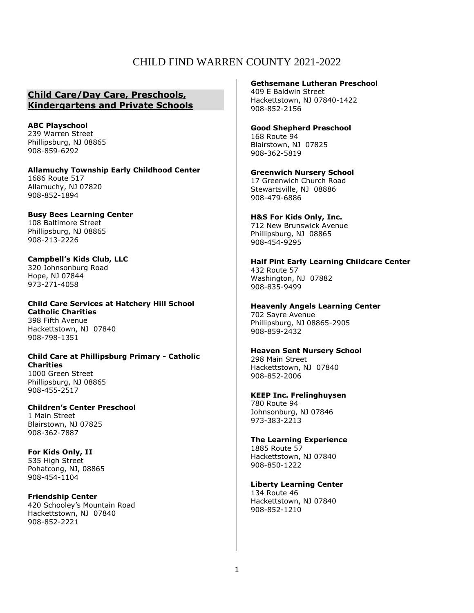# CHILD FIND WARREN COUNTY 2021-2022

## **Child Care/Day Care, Preschools, Kindergartens and Private Schools**

**ABC Playschool** 239 Warren Street Phillipsburg, NJ 08865 908-859-6292

**Allamuchy Township Early Childhood Center** 1686 Route 517 Allamuchy, NJ 07820 908-852-1894

**[Busy Bees Learning Center](http://www.yellowbook.com/profile/busy-bees-learning-center_1522592614.html?showads=true&classid=5916)** 108 Baltimore Street Phillipsburg, NJ 08865 908-213-2226

**Campbell's Kids Club, LLC** 320 Johnsonburg Road Hope, NJ 07844 973-271-4058

**Child Care Services at Hatchery Hill School Catholic Charities** 398 Fifth Avenue Hackettstown, NJ 07840 908-798-1351

**Child Care at Phillipsburg Primary - Catholic Charities** 1000 Green Street Phillipsburg, NJ 08865 908-455-2517

**Children's Center Preschool** 1 Main Street Blairstown, NJ 07825 908-362-7887

**[For Kids Only,](http://www.dexknows.com/business_profiles/for_kids_only-l802132464) II** 535 High Street Pohatcong, NJ, 08865 908-454-1104

**Friendship Center** 420 Schooley's Mountain Road Hackettstown, NJ 07840 908-852-2221

**Gethsemane Lutheran Preschool**

409 E Baldwin Street Hackettstown, NJ 07840-1422 908-852-2156

**Good Shepherd Preschool**

168 Route 94 Blairstown, NJ 07825 908-362-5819

**Greenwich Nursery School**

17 Greenwich Church Road Stewartsville, NJ 08886 908-479-6886

**H&S For Kids Only, Inc.** 712 New Brunswick Avenue Phillipsburg, NJ 08865 908-454-9295

**Half Pint Early Learning Childcare Center** 432 Route 57 Washington, NJ 07882 908-835-9499

**[Heavenly Angels Learning Center](http://www.yellowbook.com/profile/heavenly-angels-learning-center_1541722311.html?showads=true&classid=1721)** 702 Sayre Avenue Phillipsburg, NJ 08865-2905 908-859-2432

**Heaven Sent Nursery School** 298 Main Street Hackettstown, NJ 07840 908-852-2006

**KEEP Inc. Frelinghuysen** 780 Route 94 Johnsonburg, NJ 07846 973-383-2213

**The Learning Experience** 1885 Route 57 Hackettstown, NJ 07840 908-850-1222

**Liberty Learning Center** 134 Route 46 Hackettstown, NJ 07840 908-852-1210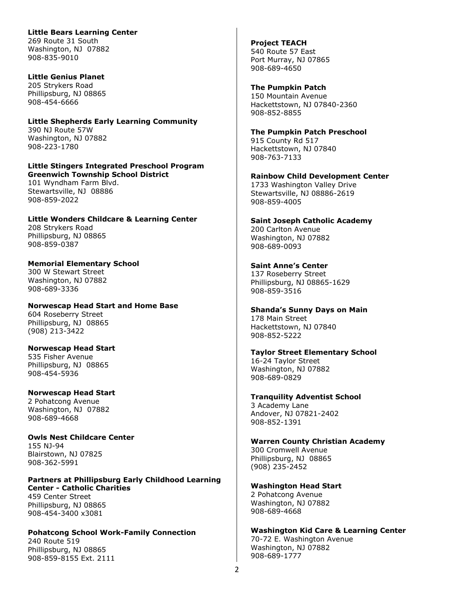## **Little Bears Learning Center**

269 Route 31 South Washington, NJ 07882 908-835-9010

## **Little Genius Planet**

205 Strykers Road Phillipsburg, NJ 08865 908-454-6666

#### **Little Shepherds Early Learning Community** 390 NJ Route 57W Washington, NJ 07882 908-223-1780

## **Little Stingers Integrated Preschool Program Greenwich Township School District** 101 Wyndham Farm Blvd.

Stewartsville, NJ 08886 908-859-2022

#### **Little Wonders Childcare & Learning Center** 208 Strykers Road Phillipsburg, NJ 08865 908-859-0387

**Memorial Elementary School** 300 W Stewart Street Washington, NJ 07882 908-689-3336

#### **Norwescap Head Start and Home Base** 604 Roseberry Street Phillipsburg, NJ 08865 (908) 213-3422

#### **Norwescap Head Start** 535 Fisher Avenue Phillipsburg, NJ 08865 908-454-5936

## **Norwescap Head Start**

2 Pohatcong Avenue Washington, NJ 07882 908-689-4668

**Owls Nest Childcare Center** 155 NJ-94 Blairstown, NJ 07825 908-362-5991

## **Partners at Phillipsburg Early Childhood Learning Center - Catholic Charities**

459 Center Street Phillipsburg, NJ 08865 908-454-3400 x3081

## **Pohatcong School Work-Family Connection**

240 Route 519 Phillipsburg, NJ 08865 908-859-8155 Ext. 2111

#### **Project TEACH** 540 Route 57 East Port Murray, NJ 07865 908-689-4650

## **The [Pumpkin Patch](http://www.yellowbook.com/profile/pumpkin-patch-the_1505362859.html?showads=true&classid=1721)**

150 Mountain Avenue Hackettstown, NJ 07840-2360 908-852-8855

## **The Pumpkin Patch Preschool**

915 County Rd 517 Hackettstown, NJ 07840 908-763-7133

# **[Rainbow Child Development](http://www.yellowbook.com/profile/rainbow-child-development_1628889753.html?showads=true&classid=1721) Center**

1733 Washington Valley Drive Stewartsville, NJ 08886-2619 908-859-4005

## **Saint Joseph Catholic Academy**

200 Carlton Avenue Washington, NJ 07882 908-689-0093

## **[Saint Anne's Center](http://www.yellowbook.com/profile/saints-philip-and-jmes-elem-schl_1631756695.html?showads=true&classid=7717)**

137 Roseberry Street Phillipsburg, NJ 08865-1629 908-859-3516

# **Shanda's Sunny Days on Main**

178 Main Street Hackettstown, NJ 07840 908-852-5222

## **Taylor Street Elementary School**

16-24 Taylor Street Washington, NJ 07882 908-689-0829

## **[Tranquility Adventist School](http://www.yellowbook.com/profile/tranquility-adventist-school_1538764327.html?showads=true&classid=7717)**

3 Academy Lane Andover, NJ 07821-2402 908-852-1391

# **Warren County Christian Academy**

300 Cromwell Avenue Phillipsburg, NJ 08865 (908) 235-2452

# **Washington Head Start**

2 Pohatcong Avenue Washington, NJ 07882 908-689-4668

## **Washington Kid Care & Learning Center**

70-72 E. Washington Avenue Washington, NJ 07882 908-689-1777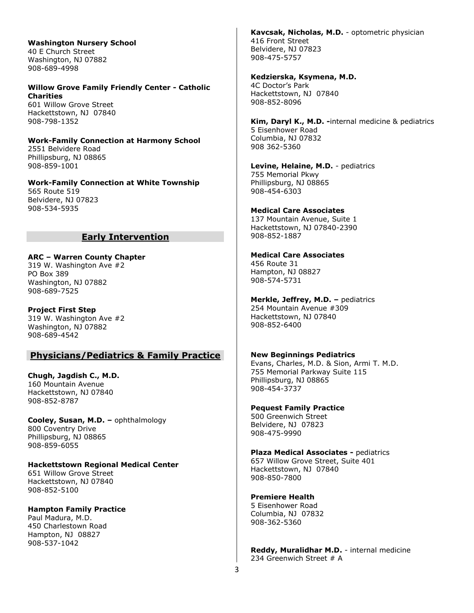**Washington Nursery School** 40 E Church Street Washington, NJ 07882 908-689-4998

## **Willow Grove Family Friendly Center - Catholic Charities**

601 Willow Grove Street Hackettstown, NJ 07840 908-798-1352

#### **Work-Family Connection at Harmony School** 2551 Belvidere Road Phillipsburg, NJ 08865 908-859-1001

**Work-Family Connection at White Township** 565 Route 519 Belvidere, NJ 07823 908-534-5935

## **Early Intervention**

**ARC – Warren County Chapter** 319 W. Washington Ave #2 PO Box 389 Washington, NJ 07882 908-689-7525

**Project First Step** 319 W. Washington Ave #2 Washington, NJ 07882 908-689-4542

# **Physicians/Pediatrics & Family Practice**

**Chugh, Jagdish C., M.D.** 160 Mountain Avenue Hackettstown, NJ 07840 908-852-8787

**Cooley, Susan, M.D. –** ophthalmology 800 Coventry Drive Phillipsburg, NJ 08865 908-859-6055

#### **Hackettstown Regional Medical Center** 651 Willow Grove Street

Hackettstown, NJ 07840 908-852-5100

## **Hampton Family Practice**

Paul Madura, M.D. 450 Charlestown Road Hampton, NJ 08827 908-537-1042

#### **Kavcsak, Nicholas, M.D.** - optometric physician 416 Front Street Belvidere, NJ 07823 908-475-5757

**Kedzierska, Ksymena, M.D.** 4C Doctor's Park Hackettstown, NJ 07840 908-852-8096

**[Kim, Daryl](http://www.yellowbook.com/profile/kim-daryl_1505340649.html?classid=6653) K., M.D. -**internal medicine & pediatrics 5 Eisenhower Road Columbia, NJ 07832 908 362-5360

**[Levine, Helaine,](http://www.yellowbook.com/profile/levine-helaine_1505342747.html?classid=6653) M.D.** - pediatrics 755 Memorial Pkwy Phillipsburg, NJ 08865 908-454-6303

### **Medical Care Associates**

137 Mountain Avenue, Suite 1 Hackettstown, NJ 07840-2390 908-852-1887

## **Medical Care Associates**

456 Route 31 Hampton, NJ 08827 908-574-5731

# **Merkle, Jeffrey, M.D. –** pediatrics

254 Mountain Avenue #309 Hackettstown, NJ 07840 908-852-6400

### **[New Beginnings Pediatrics](http://www.yellowbook.com/profile/new-beginnings-pediatrics_1617125737.html?classid=6653)**

Evans, Charles, M.D. & Sion, Armi T. M.D. 755 Memorial Parkway Suite 115 Phillipsburg, NJ 08865 908-454-3737

### **Pequest Family Practice**

500 Greenwich Street Belvidere, NJ 07823 908-475-9990

### **Plaza Medical Associates -** pediatrics

657 Willow Grove Street, Suite 401 Hackettstown, NJ 07840 908-850-7800

## **Premiere Health**

5 Eisenhower Road Columbia, NJ 07832 908-362-5360

**Reddy, Muralidhar M.D.** - internal medicine 234 Greenwich Street # A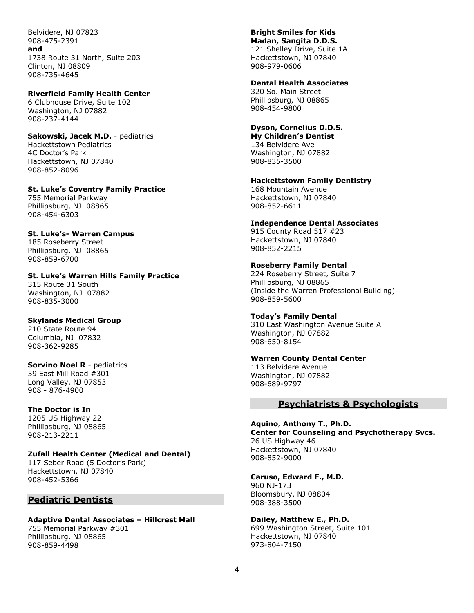Belvidere, NJ 07823 908-475-2391 **and** 1738 Route 31 North, Suite 203 Clinton, NJ 08809 908-735-4645

#### **Riverfield Family Health Center**

6 Clubhouse Drive, Suite 102 Washington, NJ 07882 908-237-4144

**Sakowski, Jacek M.D.** - pediatrics Hackettstown Pediatrics 4C Doctor's Park Hackettstown, NJ 07840 908-852-8096

**St. Luke's Coventry Family Practice** 755 Memorial Parkway Phillipsburg, NJ 08865 908-454-6303

**St. Luke's- Warren Campus** 185 Roseberry Street Phillipsburg, NJ 08865 908-859-6700

**St. Luke's Warren Hills Family Practice** 315 Route 31 South Washington, NJ 07882 908-835-3000

### **Skylands Medical Group**

210 State Route 94 Columbia, NJ 07832 908-362-9285

**[Sorvino Noel R](http://www.yellowbook.com/profile/sorvino-noel-r_1860631852.html?classid=6653)** - pediatrics 59 East Mill Road #301 Long Valley, NJ 07853 908 - 876-4900

**The Doctor is In** 1205 US Highway 22 Phillipsburg, NJ 08865 908-213-2211

**Zufall Health Center (Medical and Dental)** 117 Seber Road (5 Doctor's Park) Hackettstown, NJ 07840 908-452-5366

## **Pediatric Dentists**

# **Adaptive Dental Associates – Hillcrest Mall**

755 Memorial Parkway #301 Phillipsburg, NJ 08865 908-859-4498

# **Bright Smiles for Kids**

**Madan, Sangita D.D.S.** 121 Shelley Drive, Suite 1A Hackettstown, NJ 07840 908-979-0606

## **Dental Health Associates**

320 So. Main Street Phillipsburg, NJ 08865 908-454-9800

#### **Dyson, Cornelius D.D.S. My Children's Dentist**

134 Belvidere Ave Washington, NJ 07882 908-835-3500

## **Hackettstown Family Dentistry**

168 Mountain Avenue Hackettstown, NJ 07840 908-852-6611

### **Independence Dental Associates**

915 County Road 517 #23 Hackettstown, NJ 07840 908-852-2215

## **Roseberry Family Dental**

224 Roseberry Street, Suite 7 Phillipsburg, NJ 08865 (Inside the Warren Professional Building) 908-859-5600

#### **Today's Family Dental**

310 East Washington Avenue Suite A Washington, NJ 07882 908-650-8154

#### **Warren County Dental Center** 113 Belvidere Avenue Washington, NJ 07882 908-689-9797

### **Psychiatrists & Psychologists**

**Aquino, Anthony T., Ph.D. Center for Counseling and Psychotherapy Svcs.** 26 US Highway 46 Hackettstown, NJ 07840 908-852-9000

**Caruso, Edward F., M.D.** 960 NJ-173 Bloomsbury, NJ 08804 908-388-3500

#### **Dailey, Matthew E., Ph.D.** 699 Washington Street, Suite 101 Hackettstown, NJ 07840 973-804-7150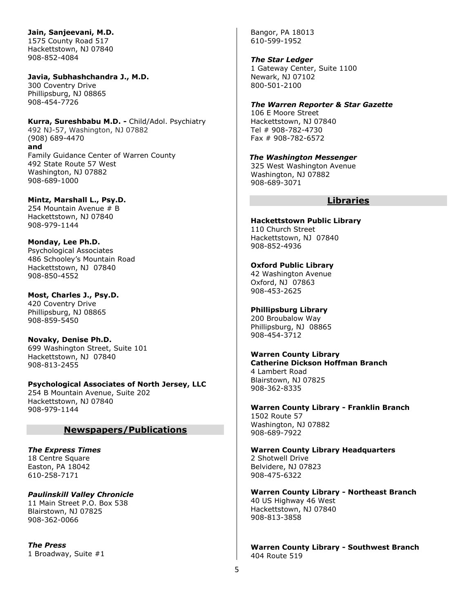### **Jain, Sanjeevani, M.D.**

1575 County Road 517 Hackettstown, NJ 07840 908-852-4084

### **Javia, Subhashchandra J., M.D.**

300 Coventry Drive Phillipsburg, NJ 08865 908-454-7726

#### **Kurra, Sureshbabu M.D. -** Child/Adol. Psychiatry 492 NJ-57, Washington, NJ 07882 [\(908\) 689-4470](https://www.google.com/search?ei=q2s5WqTYIoXm_QbNq4LYBw&q=Kurra%2C+Sureshbabu+MD+&oq=Kurra%2C+Sureshbabu+MD+&gs_l=psy-ab.3..0i22i10i30k1.3801.6330.0.8312.3.3.0.0.0.0.65.65.1.3.0....0...1c.1j2.64.psy-ab..0.1.64.0...94.6GEEycZVmvY) **and** Family Guidance Center of Warren County 492 State Route 57 West Washington, NJ 07882 908-689-1000

# **Mintz, Marshall L., Psy.D.**

254 Mountain Avenue # B Hackettstown, NJ 07840 908-979-1144

#### **Monday, Lee Ph.D.** Psychological Associates 486 Schooley's Mountain Road Hackettstown, NJ 07840 908-850-4552

# **Most, Charles J., Psy.D.**

420 Coventry Drive Phillipsburg, NJ 08865 908-859-5450

**Novaky, Denise Ph.D.** 699 Washington Street, Suite 101 Hackettstown, NJ 07840 908-813-2455

## **Psychological Associates of North Jersey, LLC**

254 B Mountain Avenue, Suite 202 Hackettstown, NJ 07840 908-979-1144

# **Newspapers/Publications**

*The Express Times* 18 Centre Square Easton, PA 18042 610-258-7171

*Paulinskill Valley Chronicle* 11 Main Street P.O. Box 538 Blairstown, NJ 07825 908-362-0066

*The Press* 1 Broadway, Suite #1 Bangor, PA 18013 610-599-1952

## *The Star Ledger*

1 Gateway Center, Suite 1100 Newark, NJ 07102 800-501-2100

### *The Warren Reporter & Star Gazette*

106 E Moore Street Hackettstown, NJ 07840 Tel # 908-782-4730 Fax # 908-782-6572

# *The Washington Messenger*

325 West Washington Avenue Washington, NJ 07882 908-689-3071

# **Libraries**

# **Hackettstown Public Library** 110 Church Street

Hackettstown, NJ 07840 908-852-4936

## **Oxford Public Library**

42 Washington Avenue Oxford, NJ 07863 908-453-2625

## **Phillipsburg Library**

200 Broubalow Way Phillipsburg, NJ 08865 908-454-3712

## **Warren County Library**

**Catherine Dickson Hoffman Branch** 4 Lambert Road Blairstown, NJ 07825 908-362-8335

#### **Warren County Library - Franklin Branch** 1502 Route 57

Washington, NJ 07882 908-689-7922

#### **Warren County Library Headquarters** 2 Shotwell Drive Belvidere, NJ 07823 908-475-6322

**Warren County Library - Northeast Branch** 40 US Highway 46 West Hackettstown, NJ 07840 908-813-3858

**Warren County Library - Southwest Branch** 404 Route 519